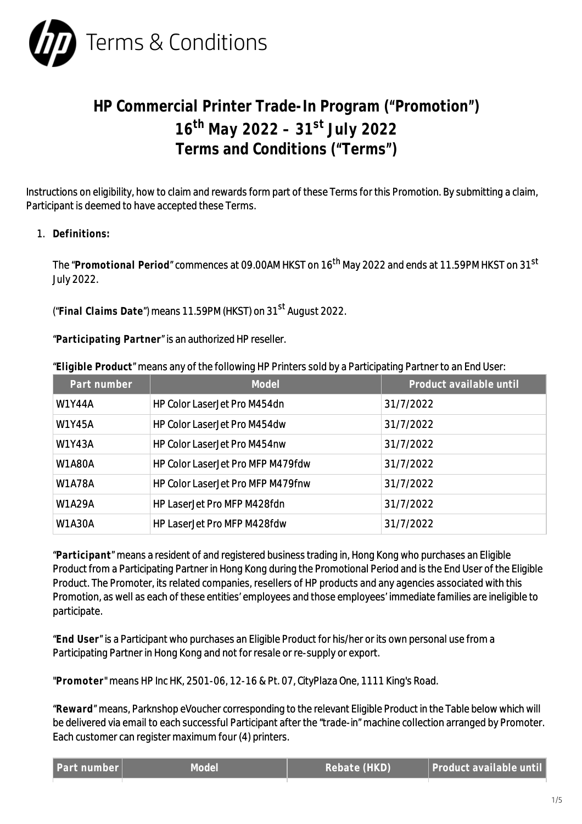

## **HP Commercial Printer Trade-In Program ("Promotion") 16th May 2022 – 31st July 2022 Terms and Conditions ("Terms")**

Instructions on eligibility, how to claim and rewards form part of these Terms for this Promotion. By submitting a claim, Participant is deemed to have accepted these Terms.

1. **Definitions:**

The "**Promotional Period**" commences at 09.00AM HKST on 16th May 2022 and ends at 11.59PM HKST on 31st July 2022.

("**Final Claims Date**") means 11.59PM (HKST) on 31st August 2022.

"**Participating Partner**" is an authorized HP reseller.

"**Eligible Product**" means any of the following HP Printers sold by a Participating Partner to an End User:

| Part number   | Model                                    | Product available until |
|---------------|------------------------------------------|-------------------------|
| <b>W1Y44A</b> | <b>HP Color LaserJet Pro M454dn</b>      | 31/7/2022               |
| <b>W1Y45A</b> | HP Color Laser Jet Pro M454dw            | 31/7/2022               |
| <b>W1Y43A</b> | HP Color Laser let Pro M454nw            | 31/7/2022               |
| <b>W1A80A</b> | <b>HP Color LaserJet Pro MFP M479fdw</b> | 31/7/2022               |
| <b>W1A78A</b> | HP Color LaserJet Pro MFP M479fnw        | 31/7/2022               |
| W1A29A        | HP Laser let Pro MFP M428fdn             | 31/7/2022               |
| <b>W1A30A</b> | HP Laser let Pro MFP M428fdw             | 31/7/2022               |

"**Participant**" means a resident of and registered business trading in, Hong Kong who purchases an Eligible Product from a Participating Partner in Hong Kong during the Promotional Period and is the End User of the Eligible Product. The Promoter, its related companies, resellers of HP products and any agencies associated with this Promotion, as well as each of these entities' employees and those employees' immediate families are ineligible to participate.

"**End User**" is a Participant who purchases an Eligible Product for his/her or its own personal use from a Participating Partner in Hong Kong and not for resale or re-supply or export.

"**Promoter**" means HP Inc HK, 2501-06, 12-16 & Pt. 07, CityPlaza One, 1111 King's Road.

"**Reward**" means, Parknshop eVoucher corresponding to the relevant Eligible Product in the Table below which will be delivered via email to each successful Participant after the "trade-in" machine collection arranged by Promoter. Each customer can register maximum four (4) printers.

|  | Part number |  |  |
|--|-------------|--|--|
|  |             |  |  |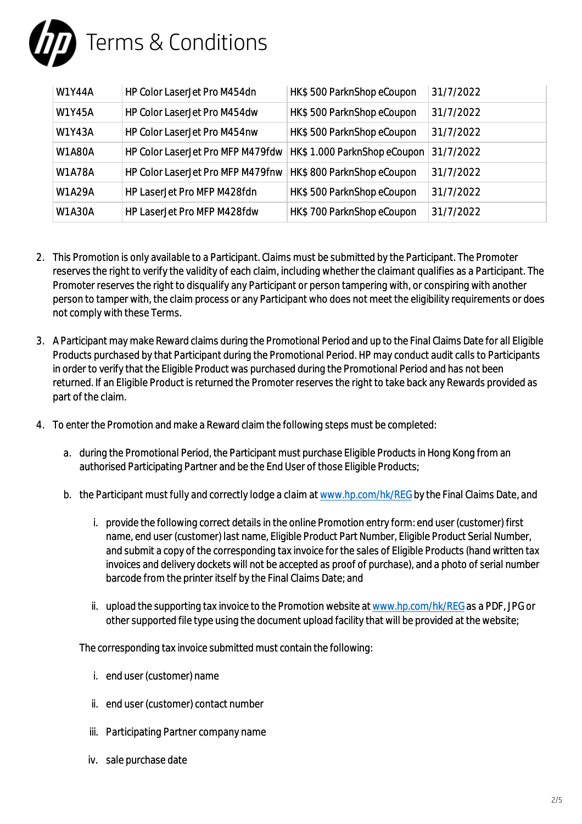

| <b>W1Y44A</b> | HP Color LaserJet Pro M454dn                                     | HK\$500 ParknShop eCoupon   | 31/7/2022 |
|---------------|------------------------------------------------------------------|-----------------------------|-----------|
| <b>W1Y45A</b> | HP Color LaserJet Pro M454dw                                     | HK\$500 ParknShop eCoupon   | 31/7/2022 |
| <b>W1Y43A</b> | <b>HP Color LaserJet Pro M454nw</b>                              | HK\$500 ParknShop eCoupon   | 31/7/2022 |
| <b>W1A80A</b> | HP Color LaserJet Pro MFP M479fdw                                | HK\$1.000 ParknShop eCoupon | 31/7/2022 |
| <b>W1A78A</b> | HP Color Laser Jet Pro MFP M479 fnw   HK\$ 800 ParknShop eCoupon |                             | 31/7/2022 |
| <b>W1A29A</b> | HP LaserJet Pro MFP M428fdn                                      | HK\$500 ParknShop eCoupon   | 31/7/2022 |
| <b>W1A30A</b> | HP LaserJet Pro MFP M428fdw                                      | HK\$700 ParknShop eCoupon   | 31/7/2022 |

- 2. This Promotion is only available to a Participant. Claims must be submitted by the Participant. The Promoter reserves the right to verify the validity of each claim, including whether the claimant qualifies as a Participant. The Promoter reserves the right to disqualify any Participant or person tampering with, or conspiring with another person to tamper with, the claim process or any Participant who does not meet the eligibility requirements or does not comply with these Terms.
- 3. A Participant may make Reward claims during the Promotional Period and up to the Final Claims Date for all Eligible Products purchased by that Participant during the Promotional Period. HP may conduct audit calls to Participants in order to verify that the Eligible Product was purchased during the Promotional Period and has not been returned. If an Eligible Product is returned the Promoter reserves the right to take back any Rewards provided as part of the claim.
- 4. To enter the Promotion and make a Reward claim the following steps must be completed:
	- a. during the Promotional Period, the Participant must purchase Eligible Products in Hong Kong from an authorised Participating Partner and be the End User of those Eligible Products;
	- b. the Participant must fully and correctly lodge a claim at [www.hp.com/hk/REG](http://www.hp.com/hk/REG) by the Final Claims Date, and
		- i. provide the following correct details in the online Promotion entry form: end user (customer) first name, end user (customer) last name, Eligible Product Part Number, Eligible Product Serial Number, and submit a copy of the corresponding tax invoice for the sales of Eligible Products (hand written tax invoices and delivery dockets will not be accepted as proof of purchase), and a photo of serial number barcode from the printer itself by the Final Claims Date; and
		- ii. upload the supporting tax invoice to the Promotion website at [www.hp.com/hk/REG](http://www.hp.com/hk/REG) as a PDF, JPG or other supported file type using the document upload facility that will be provided at the website;

The corresponding tax invoice submitted must contain the following:

- i. end user (customer) name
- ii. end user (customer) contact number
- iii. Participating Partner company name
- iv. sale purchase date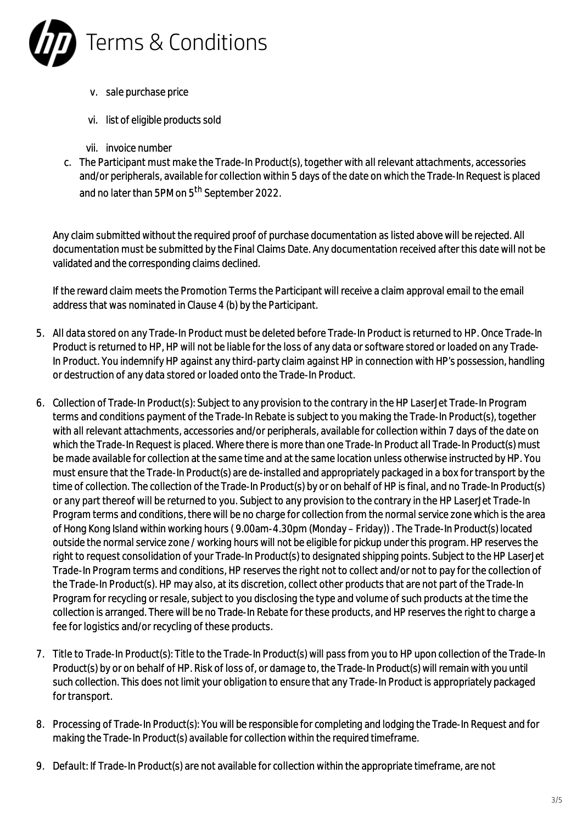

- v. sale purchase price
- vi. list of eligible products sold
- vii. invoice number
- c. The Participant must make the Trade-In Product(s), together with all relevant attachments, accessories and/or peripherals, available for collection within 5 days of the date on which the Trade-In Request is placed and no later than 5PM on 5<sup>th</sup> September 2022.

Any claim submitted without the required proof of purchase documentation as listed above will be rejected. All documentation must be submitted by the Final Claims Date. Any documentation received after this date will not be validated and the corresponding claims declined.

If the reward claim meets the Promotion Terms the Participant will receive a claim approval email to the email address that was nominated in Clause 4 (b) by the Participant.

- 5. All data stored on any Trade-In Product must be deleted before Trade-In Product is returned to HP. Once Trade-In Product is returned to HP, HP will not be liable for the loss of any data or software stored or loaded on any Trade-In Product. You indemnify HP against any third-party claim against HP in connection with HP's possession, handling or destruction of any data stored or loaded onto the Trade-In Product.
- 6. Collection of Trade-In Product(s): Subject to any provision to the contrary in the HP LaserJet Trade-In Program terms and conditions payment of the Trade-In Rebate is subject to you making the Trade-In Product(s), together with all relevant attachments, accessories and/or peripherals, available for collection within 7 days of the date on which the Trade-In Request is placed. Where there is more than one Trade-In Product all Trade-In Product(s) must be made available for collection at the same time and at the same location unless otherwise instructed by HP. You must ensure that the Trade-In Product(s) are de-installed and appropriately packaged in a box for transport by the time of collection. The collection of the Trade-In Product(s) by or on behalf of HP is final, and no Trade-In Product(s) or any part thereof will be returned to you. Subject to any provision to the contrary in the HP LaserJet Trade-In Program terms and conditions, there will be no charge for collection from the normal service zone which is the area of Hong Kong Island within working hours ( 9.00am-4.30pm (Monday – Friday)) . The Trade-In Product(s) located outside the normal service zone / working hours will not be eligible for pickup under this program. HP reserves the right to request consolidation of your Trade-In Product(s) to designated shipping points. Subject to the HP LaserJet Trade-In Program terms and conditions, HP reserves the right not to collect and/or not to pay for the collection of the Trade-In Product(s). HP may also, at its discretion, collect other products that are not part of the Trade-In Program for recycling or resale, subject to you disclosing the type and volume of such products at the time the collection is arranged. There will be no Trade-In Rebate for these products, and HP reserves the right to charge a fee for logistics and/or recycling of these products.
- 7. Title to Trade-In Product(s): Title to the Trade-In Product(s) will pass from you to HP upon collection of the Trade-In Product(s) by or on behalf of HP. Risk of loss of, or damage to, the Trade-In Product(s) will remain with you until such collection. This does not limit your obligation to ensure that any Trade-In Product is appropriately packaged for transport.
- 8. Processing of Trade-In Product(s): You will be responsible for completing and lodging the Trade-In Request and for making the Trade-In Product(s) available for collection within the required timeframe.
- 9. Default: If Trade-In Product(s) are not available for collection within the appropriate timeframe, are not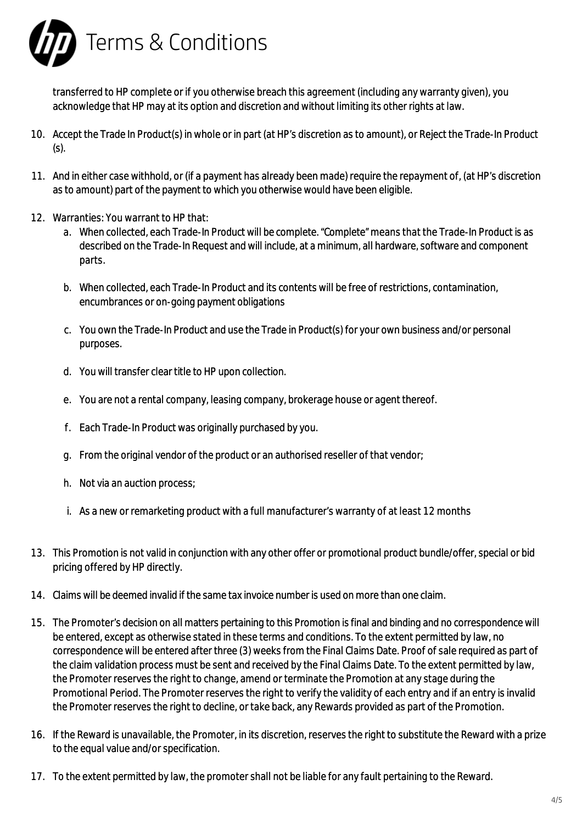

transferred to HP complete or if you otherwise breach this agreement (including any warranty given), you acknowledge that HP may at its option and discretion and without limiting its other rights at law.

- 10. Accept the Trade In Product(s) in whole or in part (at HP's discretion as to amount), or Reject the Trade-In Product (s).
- 11. And in either case withhold, or (if a payment has already been made) require the repayment of, (at HP's discretion as to amount) part of the payment to which you otherwise would have been eligible.
- 12. Warranties: You warrant to HP that:
	- a. When collected, each Trade-In Product will be complete. "Complete" means that the Trade-In Product is as described on the Trade-In Request and will include, at a minimum, all hardware, software and component parts.
	- b. When collected, each Trade-In Product and its contents will be free of restrictions, contamination, encumbrances or on-going payment obligations
	- c. You own the Trade-In Product and use the Trade in Product(s) for your own business and/or personal purposes.
	- d. You will transfer clear title to HP upon collection.
	- e. You are not a rental company, leasing company, brokerage house or agent thereof.
	- f. Each Trade-In Product was originally purchased by you.
	- g. From the original vendor of the product or an authorised reseller of that vendor;
	- h. Not via an auction process;
	- i. As a new or remarketing product with a full manufacturer's warranty of at least 12 months
- 13. This Promotion is not valid in conjunction with any other offer or promotional product bundle/offer, special or bid pricing offered by HP directly.
- 14. Claims will be deemed invalid if the same tax invoice number is used on more than one claim.
- 15. The Promoter's decision on all matters pertaining to this Promotion is final and binding and no correspondence will be entered, except as otherwise stated in these terms and conditions. To the extent permitted by law, no correspondence will be entered after three (3) weeks from the Final Claims Date. Proof of sale required as part of the claim validation process must be sent and received by the Final Claims Date. To the extent permitted by law, the Promoter reserves the right to change, amend or terminate the Promotion at any stage during the Promotional Period. The Promoter reserves the right to verify the validity of each entry and if an entry is invalid the Promoter reserves the right to decline, or take back, any Rewards provided as part of the Promotion.
- 16. If the Reward is unavailable, the Promoter, in its discretion, reserves the right to substitute the Reward with a prize to the equal value and/or specification.
- 17. To the extent permitted by law, the promoter shall not be liable for any fault pertaining to the Reward.